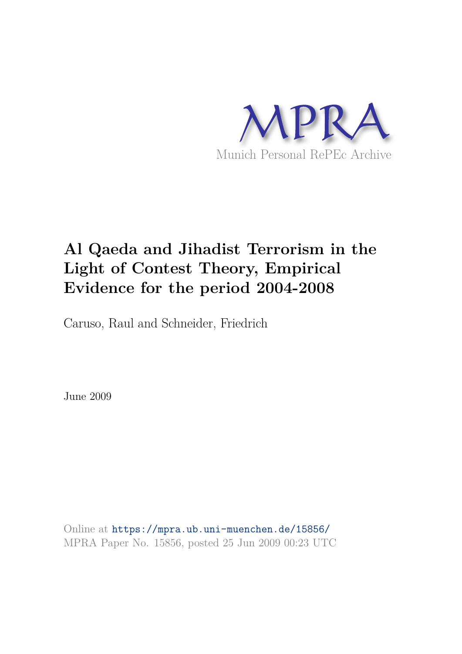

# **Al Qaeda and Jihadist Terrorism in the Light of Contest Theory, Empirical Evidence for the period 2004-2008**

Caruso, Raul and Schneider, Friedrich

June 2009

Online at https://mpra.ub.uni-muenchen.de/15856/ MPRA Paper No. 15856, posted 25 Jun 2009 00:23 UTC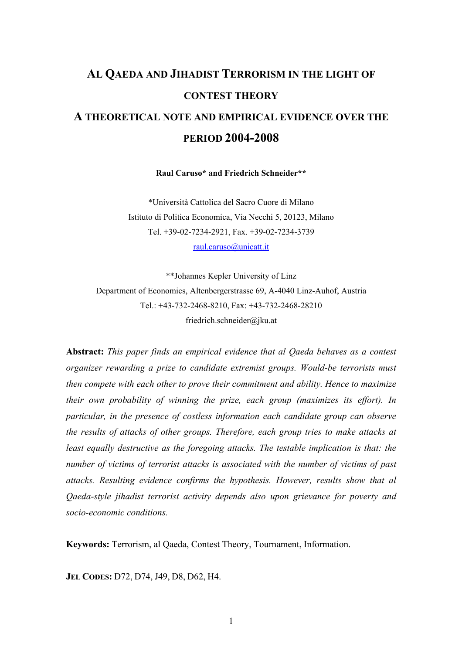# **AL QAEDA AND JIHADIST TERRORISM IN THE LIGHT OF CONTEST THEORY A THEORETICAL NOTE AND EMPIRICAL EVIDENCE OVER THE PERIOD 2004-2008**

**Raul Caruso\* and Friedrich Schneider\*\*** 

\*Università Cattolica del Sacro Cuore di Milano Istituto di Politica Economica, Via Necchi 5, 20123, Milano Tel. +39-02-7234-2921, Fax. +39-02-7234-3739 raul.caruso@unicatt.it

\*\*Johannes Kepler University of Linz Department of Economics, Altenbergerstrasse 69, A-4040 Linz-Auhof, Austria Tel.: +43-732-2468-8210, Fax: +43-732-2468-28210 friedrich.schneider@jku.at

**Abstract:** *This paper finds an empirical evidence that al Qaeda behaves as a contest organizer rewarding a prize to candidate extremist groups. Would-be terrorists must then compete with each other to prove their commitment and ability. Hence to maximize their own probability of winning the prize, each group (maximizes its effort). In particular, in the presence of costless information each candidate group can observe the results of attacks of other groups. Therefore, each group tries to make attacks at least equally destructive as the foregoing attacks. The testable implication is that: the number of victims of terrorist attacks is associated with the number of victims of past attacks. Resulting evidence confirms the hypothesis. However, results show that al Qaeda-style jihadist terrorist activity depends also upon grievance for poverty and socio-economic conditions.* 

**Keywords:** Terrorism, al Qaeda, Contest Theory, Tournament, Information.

**JEL CODES:** D72, D74, J49, D8, D62, H4.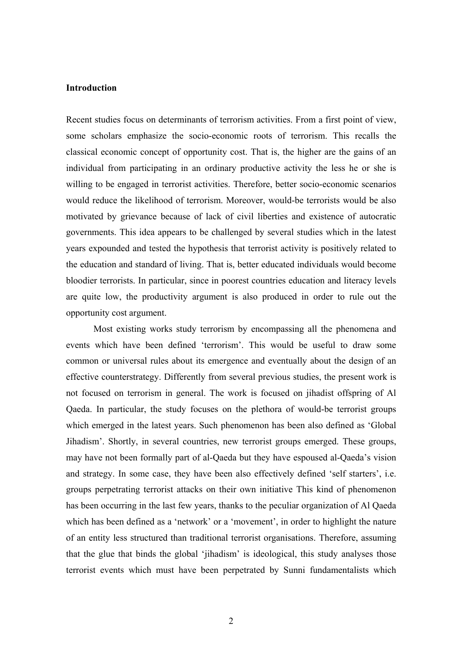# **Introduction**

Recent studies focus on determinants of terrorism activities. From a first point of view, some scholars emphasize the socio-economic roots of terrorism. This recalls the classical economic concept of opportunity cost. That is, the higher are the gains of an individual from participating in an ordinary productive activity the less he or she is willing to be engaged in terrorist activities. Therefore, better socio-economic scenarios would reduce the likelihood of terrorism. Moreover, would-be terrorists would be also motivated by grievance because of lack of civil liberties and existence of autocratic governments. This idea appears to be challenged by several studies which in the latest years expounded and tested the hypothesis that terrorist activity is positively related to the education and standard of living. That is, better educated individuals would become bloodier terrorists. In particular, since in poorest countries education and literacy levels are quite low, the productivity argument is also produced in order to rule out the opportunity cost argument.

 Most existing works study terrorism by encompassing all the phenomena and events which have been defined 'terrorism'. This would be useful to draw some common or universal rules about its emergence and eventually about the design of an effective counterstrategy. Differently from several previous studies, the present work is not focused on terrorism in general. The work is focused on jihadist offspring of Al Qaeda. In particular, the study focuses on the plethora of would-be terrorist groups which emerged in the latest years. Such phenomenon has been also defined as 'Global Jihadism'. Shortly, in several countries, new terrorist groups emerged. These groups, may have not been formally part of al-Qaeda but they have espoused al-Qaeda's vision and strategy. In some case, they have been also effectively defined 'self starters', i.e. groups perpetrating terrorist attacks on their own initiative This kind of phenomenon has been occurring in the last few years, thanks to the peculiar organization of Al Qaeda which has been defined as a 'network' or a 'movement', in order to highlight the nature of an entity less structured than traditional terrorist organisations. Therefore, assuming that the glue that binds the global 'jihadism' is ideological, this study analyses those terrorist events which must have been perpetrated by Sunni fundamentalists which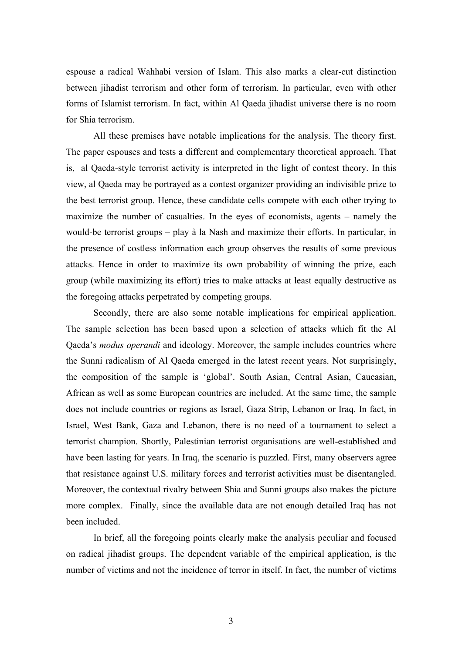espouse a radical Wahhabi version of Islam. This also marks a clear-cut distinction between jihadist terrorism and other form of terrorism. In particular, even with other forms of Islamist terrorism. In fact, within Al Qaeda jihadist universe there is no room for Shia terrorism.

 All these premises have notable implications for the analysis. The theory first. The paper espouses and tests a different and complementary theoretical approach. That is, al Qaeda-style terrorist activity is interpreted in the light of contest theory. In this view, al Qaeda may be portrayed as a contest organizer providing an indivisible prize to the best terrorist group. Hence, these candidate cells compete with each other trying to maximize the number of casualties. In the eyes of economists, agents – namely the would-be terrorist groups – play à la Nash and maximize their efforts. In particular, in the presence of costless information each group observes the results of some previous attacks. Hence in order to maximize its own probability of winning the prize, each group (while maximizing its effort) tries to make attacks at least equally destructive as the foregoing attacks perpetrated by competing groups.

 Secondly, there are also some notable implications for empirical application. The sample selection has been based upon a selection of attacks which fit the Al Qaeda's *modus operandi* and ideology. Moreover, the sample includes countries where the Sunni radicalism of Al Qaeda emerged in the latest recent years. Not surprisingly, the composition of the sample is 'global'. South Asian, Central Asian, Caucasian, African as well as some European countries are included. At the same time, the sample does not include countries or regions as Israel, Gaza Strip, Lebanon or Iraq. In fact, in Israel, West Bank, Gaza and Lebanon, there is no need of a tournament to select a terrorist champion. Shortly, Palestinian terrorist organisations are well-established and have been lasting for years. In Iraq, the scenario is puzzled. First, many observers agree that resistance against U.S. military forces and terrorist activities must be disentangled. Moreover, the contextual rivalry between Shia and Sunni groups also makes the picture more complex. Finally, since the available data are not enough detailed Iraq has not been included.

 In brief, all the foregoing points clearly make the analysis peculiar and focused on radical jihadist groups. The dependent variable of the empirical application, is the number of victims and not the incidence of terror in itself. In fact, the number of victims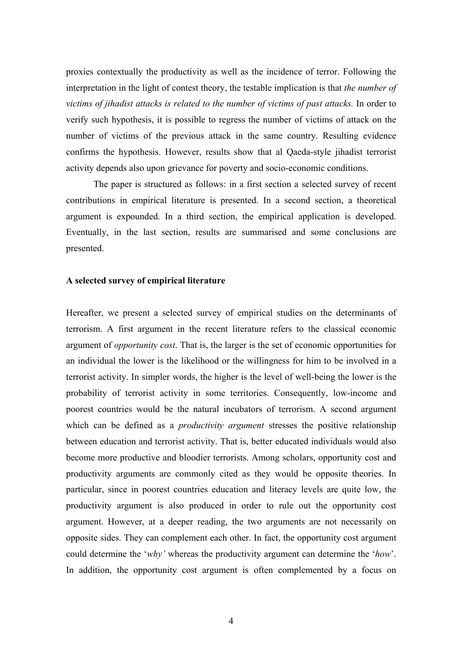proxies contextually the productivity as well as the incidence of terror. Following the interpretation in the light of contest theory, the testable implication is that *the number of victims of jihadist attacks is related to the number of victims of past attacks.* In order to verify such hypothesis, it is possible to regress the number of victims of attack on the number of victims of the previous attack in the same country. Resulting evidence confirms the hypothesis. However, results show that al Qaeda-style jihadist terrorist activity depends also upon grievance for poverty and socio-economic conditions.

 The paper is structured as follows: in a first section a selected survey of recent contributions in empirical literature is presented. In a second section, a theoretical argument is expounded. In a third section, the empirical application is developed. Eventually, in the last section, results are summarised and some conclusions are presented.

## **A selected survey of empirical literature**

Hereafter, we present a selected survey of empirical studies on the determinants of terrorism. A first argument in the recent literature refers to the classical economic argument of *opportunity cost*. That is, the larger is the set of economic opportunities for an individual the lower is the likelihood or the willingness for him to be involved in a terrorist activity. In simpler words, the higher is the level of well-being the lower is the probability of terrorist activity in some territories. Consequently, low-income and poorest countries would be the natural incubators of terrorism. A second argument which can be defined as a *productivity argument* stresses the positive relationship between education and terrorist activity. That is, better educated individuals would also become more productive and bloodier terrorists. Among scholars, opportunity cost and productivity arguments are commonly cited as they would be opposite theories. In particular, since in poorest countries education and literacy levels are quite low, the productivity argument is also produced in order to rule out the opportunity cost argument. However, at a deeper reading, the two arguments are not necessarily on opposite sides. They can complement each other. In fact, the opportunity cost argument could determine the '*why'* whereas the productivity argument can determine the '*how*'. In addition, the opportunity cost argument is often complemented by a focus on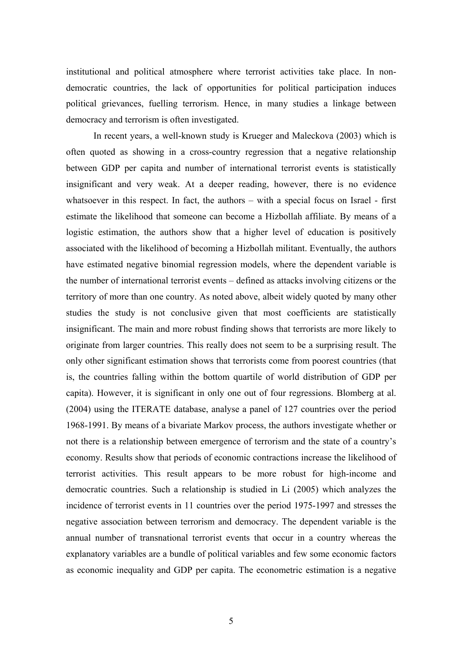institutional and political atmosphere where terrorist activities take place. In nondemocratic countries, the lack of opportunities for political participation induces political grievances, fuelling terrorism. Hence, in many studies a linkage between democracy and terrorism is often investigated.

 In recent years, a well-known study is Krueger and Maleckova (2003) which is often quoted as showing in a cross-country regression that a negative relationship between GDP per capita and number of international terrorist events is statistically insignificant and very weak. At a deeper reading, however, there is no evidence whatsoever in this respect. In fact, the authors – with a special focus on Israel - first estimate the likelihood that someone can become a Hizbollah affiliate. By means of a logistic estimation, the authors show that a higher level of education is positively associated with the likelihood of becoming a Hizbollah militant. Eventually, the authors have estimated negative binomial regression models, where the dependent variable is the number of international terrorist events – defined as attacks involving citizens or the territory of more than one country. As noted above, albeit widely quoted by many other studies the study is not conclusive given that most coefficients are statistically insignificant. The main and more robust finding shows that terrorists are more likely to originate from larger countries. This really does not seem to be a surprising result. The only other significant estimation shows that terrorists come from poorest countries (that is, the countries falling within the bottom quartile of world distribution of GDP per capita). However, it is significant in only one out of four regressions. Blomberg at al. (2004) using the ITERATE database, analyse a panel of 127 countries over the period 1968-1991. By means of a bivariate Markov process, the authors investigate whether or not there is a relationship between emergence of terrorism and the state of a country's economy. Results show that periods of economic contractions increase the likelihood of terrorist activities. This result appears to be more robust for high-income and democratic countries. Such a relationship is studied in Li (2005) which analyzes the incidence of terrorist events in 11 countries over the period 1975-1997 and stresses the negative association between terrorism and democracy. The dependent variable is the annual number of transnational terrorist events that occur in a country whereas the explanatory variables are a bundle of political variables and few some economic factors as economic inequality and GDP per capita. The econometric estimation is a negative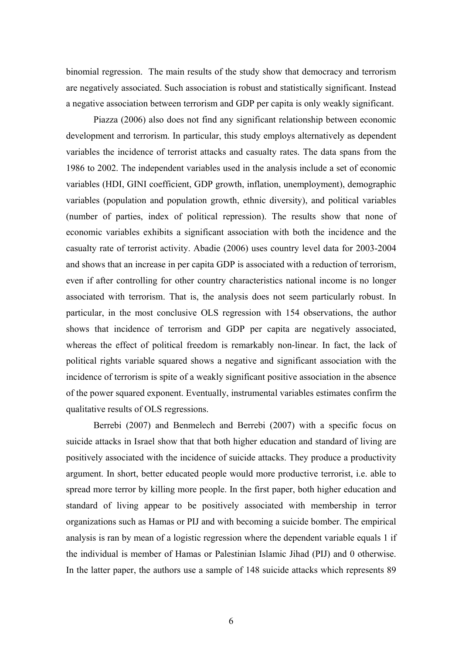binomial regression. The main results of the study show that democracy and terrorism are negatively associated. Such association is robust and statistically significant. Instead a negative association between terrorism and GDP per capita is only weakly significant.

 Piazza (2006) also does not find any significant relationship between economic development and terrorism. In particular, this study employs alternatively as dependent variables the incidence of terrorist attacks and casualty rates. The data spans from the 1986 to 2002. The independent variables used in the analysis include a set of economic variables (HDI, GINI coefficient, GDP growth, inflation, unemployment), demographic variables (population and population growth, ethnic diversity), and political variables (number of parties, index of political repression). The results show that none of economic variables exhibits a significant association with both the incidence and the casualty rate of terrorist activity. Abadie (2006) uses country level data for 2003-2004 and shows that an increase in per capita GDP is associated with a reduction of terrorism, even if after controlling for other country characteristics national income is no longer associated with terrorism. That is, the analysis does not seem particularly robust. In particular, in the most conclusive OLS regression with 154 observations, the author shows that incidence of terrorism and GDP per capita are negatively associated, whereas the effect of political freedom is remarkably non-linear. In fact, the lack of political rights variable squared shows a negative and significant association with the incidence of terrorism is spite of a weakly significant positive association in the absence of the power squared exponent. Eventually, instrumental variables estimates confirm the qualitative results of OLS regressions.

 Berrebi (2007) and Benmelech and Berrebi (2007) with a specific focus on suicide attacks in Israel show that that both higher education and standard of living are positively associated with the incidence of suicide attacks. They produce a productivity argument. In short, better educated people would more productive terrorist, i.e. able to spread more terror by killing more people. In the first paper, both higher education and standard of living appear to be positively associated with membership in terror organizations such as Hamas or PIJ and with becoming a suicide bomber. The empirical analysis is ran by mean of a logistic regression where the dependent variable equals 1 if the individual is member of Hamas or Palestinian Islamic Jihad (PIJ) and 0 otherwise. In the latter paper, the authors use a sample of 148 suicide attacks which represents 89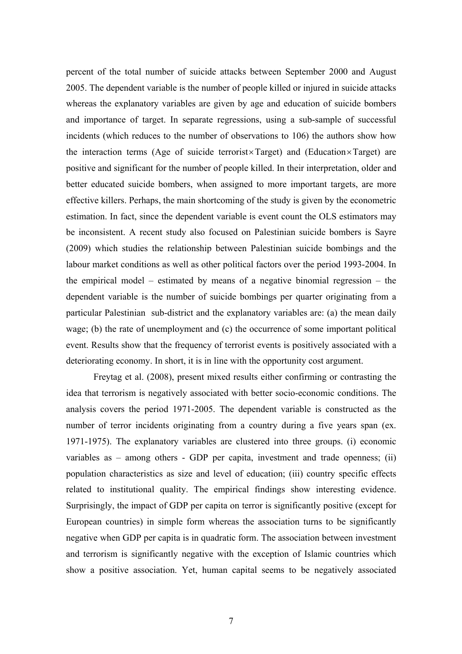percent of the total number of suicide attacks between September 2000 and August 2005. The dependent variable is the number of people killed or injured in suicide attacks whereas the explanatory variables are given by age and education of suicide bombers and importance of target. In separate regressions, using a sub-sample of successful incidents (which reduces to the number of observations to 106) the authors show how the interaction terms (Age of suicide terrorist×Target) and (Education×Target) are positive and significant for the number of people killed. In their interpretation, older and better educated suicide bombers, when assigned to more important targets, are more effective killers. Perhaps, the main shortcoming of the study is given by the econometric estimation. In fact, since the dependent variable is event count the OLS estimators may be inconsistent. A recent study also focused on Palestinian suicide bombers is Sayre (2009) which studies the relationship between Palestinian suicide bombings and the labour market conditions as well as other political factors over the period 1993-2004. In the empirical model – estimated by means of a negative binomial regression – the dependent variable is the number of suicide bombings per quarter originating from a particular Palestinian sub-district and the explanatory variables are: (a) the mean daily wage; (b) the rate of unemployment and (c) the occurrence of some important political event. Results show that the frequency of terrorist events is positively associated with a deteriorating economy. In short, it is in line with the opportunity cost argument.

 Freytag et al. (2008), present mixed results either confirming or contrasting the idea that terrorism is negatively associated with better socio-economic conditions. The analysis covers the period 1971-2005. The dependent variable is constructed as the number of terror incidents originating from a country during a five years span (ex. 1971-1975). The explanatory variables are clustered into three groups. (i) economic variables as – among others - GDP per capita, investment and trade openness; (ii) population characteristics as size and level of education; (iii) country specific effects related to institutional quality. The empirical findings show interesting evidence. Surprisingly, the impact of GDP per capita on terror is significantly positive (except for European countries) in simple form whereas the association turns to be significantly negative when GDP per capita is in quadratic form. The association between investment and terrorism is significantly negative with the exception of Islamic countries which show a positive association. Yet, human capital seems to be negatively associated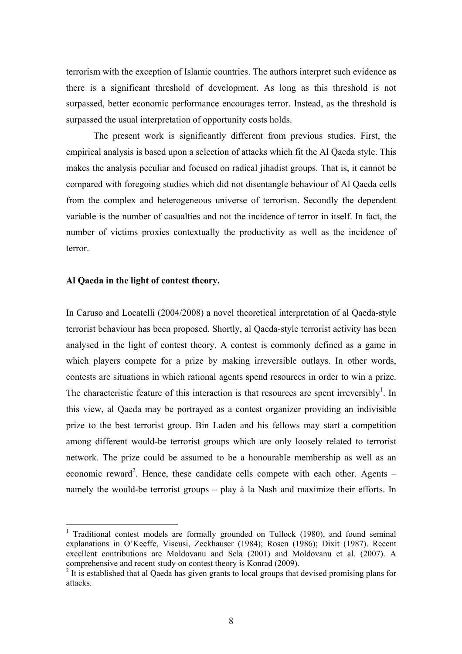terrorism with the exception of Islamic countries. The authors interpret such evidence as there is a significant threshold of development. As long as this threshold is not surpassed, better economic performance encourages terror. Instead, as the threshold is surpassed the usual interpretation of opportunity costs holds.

 The present work is significantly different from previous studies. First, the empirical analysis is based upon a selection of attacks which fit the Al Qaeda style. This makes the analysis peculiar and focused on radical jihadist groups. That is, it cannot be compared with foregoing studies which did not disentangle behaviour of Al Qaeda cells from the complex and heterogeneous universe of terrorism. Secondly the dependent variable is the number of casualties and not the incidence of terror in itself. In fact, the number of victims proxies contextually the productivity as well as the incidence of terror.

# **Al Qaeda in the light of contest theory.**

 $\overline{a}$ 

In Caruso and Locatelli (2004/2008) a novel theoretical interpretation of al Qaeda-style terrorist behaviour has been proposed. Shortly, al Qaeda-style terrorist activity has been analysed in the light of contest theory. A contest is commonly defined as a game in which players compete for a prize by making irreversible outlays. In other words, contests are situations in which rational agents spend resources in order to win a prize. The characteristic feature of this interaction is that resources are spent irreversibly<sup>1</sup>. In this view, al Qaeda may be portrayed as a contest organizer providing an indivisible prize to the best terrorist group. Bin Laden and his fellows may start a competition among different would-be terrorist groups which are only loosely related to terrorist network. The prize could be assumed to be a honourable membership as well as an economic reward<sup>2</sup>. Hence, these candidate cells compete with each other. Agents  $$ namely the would-be terrorist groups – play à la Nash and maximize their efforts. In

<sup>&</sup>lt;sup>1</sup> Traditional contest models are formally grounded on Tullock (1980), and found seminal explanations in O'Keeffe, Viscusi, Zeckhauser (1984); Rosen (1986); Dixit (1987). Recent excellent contributions are Moldovanu and Sela (2001) and Moldovanu et al. (2007). A comprehensive and recent study on contest theory is Konrad (2009).

 $2$  It is established that al Qaeda has given grants to local groups that devised promising plans for attacks.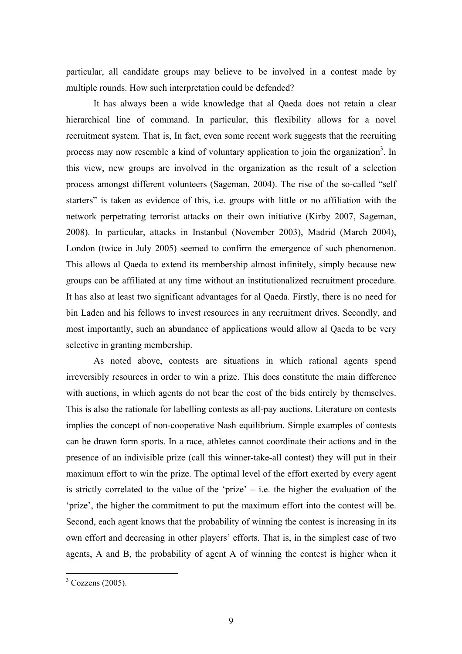particular, all candidate groups may believe to be involved in a contest made by multiple rounds. How such interpretation could be defended?

 It has always been a wide knowledge that al Qaeda does not retain a clear hierarchical line of command. In particular, this flexibility allows for a novel recruitment system. That is, In fact, even some recent work suggests that the recruiting process may now resemble a kind of voluntary application to join the organization<sup>3</sup>. In this view, new groups are involved in the organization as the result of a selection process amongst different volunteers (Sageman, 2004). The rise of the so-called "self starters" is taken as evidence of this, i.e. groups with little or no affiliation with the network perpetrating terrorist attacks on their own initiative (Kirby 2007, Sageman, 2008). In particular, attacks in Instanbul (November 2003), Madrid (March 2004), London (twice in July 2005) seemed to confirm the emergence of such phenomenon. This allows al Qaeda to extend its membership almost infinitely, simply because new groups can be affiliated at any time without an institutionalized recruitment procedure. It has also at least two significant advantages for al Qaeda. Firstly, there is no need for bin Laden and his fellows to invest resources in any recruitment drives. Secondly, and most importantly, such an abundance of applications would allow al Qaeda to be very selective in granting membership.

 As noted above, contests are situations in which rational agents spend irreversibly resources in order to win a prize. This does constitute the main difference with auctions, in which agents do not bear the cost of the bids entirely by themselves. This is also the rationale for labelling contests as all-pay auctions. Literature on contests implies the concept of non-cooperative Nash equilibrium. Simple examples of contests can be drawn form sports. In a race, athletes cannot coordinate their actions and in the presence of an indivisible prize (call this winner-take-all contest) they will put in their maximum effort to win the prize. The optimal level of the effort exerted by every agent is strictly correlated to the value of the 'prize' – i.e. the higher the evaluation of the 'prize', the higher the commitment to put the maximum effort into the contest will be. Second, each agent knows that the probability of winning the contest is increasing in its own effort and decreasing in other players' efforts. That is, in the simplest case of two agents, A and B, the probability of agent A of winning the contest is higher when it

 $3 \text{ Cozzens}$  (2005).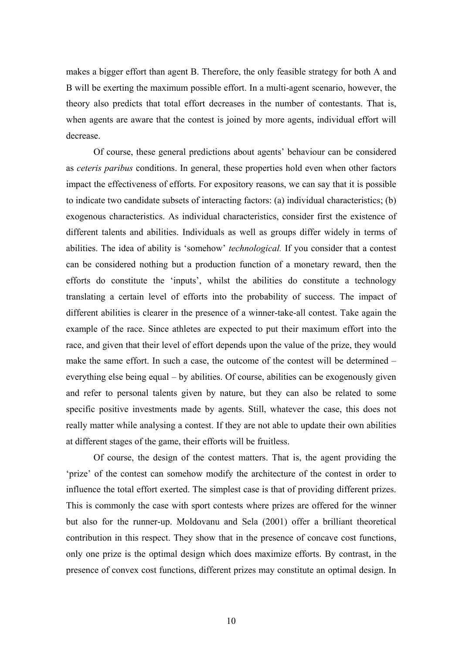makes a bigger effort than agent B. Therefore, the only feasible strategy for both A and B will be exerting the maximum possible effort. In a multi-agent scenario, however, the theory also predicts that total effort decreases in the number of contestants. That is, when agents are aware that the contest is joined by more agents, individual effort will decrease.

Of course, these general predictions about agents' behaviour can be considered as *ceteris paribus* conditions. In general, these properties hold even when other factors impact the effectiveness of efforts. For expository reasons, we can say that it is possible to indicate two candidate subsets of interacting factors: (a) individual characteristics; (b) exogenous characteristics. As individual characteristics, consider first the existence of different talents and abilities. Individuals as well as groups differ widely in terms of abilities. The idea of ability is 'somehow' *technological.* If you consider that a contest can be considered nothing but a production function of a monetary reward, then the efforts do constitute the 'inputs', whilst the abilities do constitute a technology translating a certain level of efforts into the probability of success. The impact of different abilities is clearer in the presence of a winner-take-all contest. Take again the example of the race. Since athletes are expected to put their maximum effort into the race, and given that their level of effort depends upon the value of the prize, they would make the same effort. In such a case, the outcome of the contest will be determined – everything else being equal – by abilities. Of course, abilities can be exogenously given and refer to personal talents given by nature, but they can also be related to some specific positive investments made by agents. Still, whatever the case, this does not really matter while analysing a contest. If they are not able to update their own abilities at different stages of the game, their efforts will be fruitless.

Of course, the design of the contest matters. That is, the agent providing the 'prize' of the contest can somehow modify the architecture of the contest in order to influence the total effort exerted. The simplest case is that of providing different prizes. This is commonly the case with sport contests where prizes are offered for the winner but also for the runner-up. Moldovanu and Sela (2001) offer a brilliant theoretical contribution in this respect. They show that in the presence of concave cost functions, only one prize is the optimal design which does maximize efforts. By contrast, in the presence of convex cost functions, different prizes may constitute an optimal design. In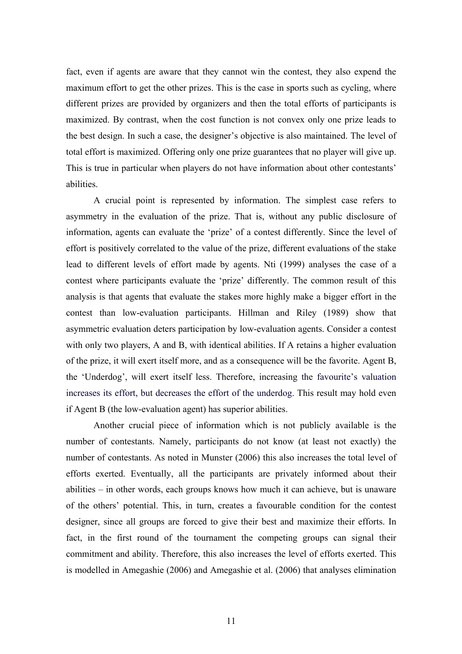fact, even if agents are aware that they cannot win the contest, they also expend the maximum effort to get the other prizes. This is the case in sports such as cycling, where different prizes are provided by organizers and then the total efforts of participants is maximized. By contrast, when the cost function is not convex only one prize leads to the best design. In such a case, the designer's objective is also maintained. The level of total effort is maximized. Offering only one prize guarantees that no player will give up. This is true in particular when players do not have information about other contestants' abilities.

A crucial point is represented by information. The simplest case refers to asymmetry in the evaluation of the prize. That is, without any public disclosure of information, agents can evaluate the 'prize' of a contest differently. Since the level of effort is positively correlated to the value of the prize, different evaluations of the stake lead to different levels of effort made by agents. Nti (1999) analyses the case of a contest where participants evaluate the 'prize' differently. The common result of this analysis is that agents that evaluate the stakes more highly make a bigger effort in the contest than low-evaluation participants. Hillman and Riley (1989) show that asymmetric evaluation deters participation by low-evaluation agents. Consider a contest with only two players, A and B, with identical abilities. If A retains a higher evaluation of the prize, it will exert itself more, and as a consequence will be the favorite. Agent B, the 'Underdog', will exert itself less. Therefore, increasing the favourite's valuation increases its effort, but decreases the effort of the underdog. This result may hold even if Agent B (the low-evaluation agent) has superior abilities.

 Another crucial piece of information which is not publicly available is the number of contestants. Namely, participants do not know (at least not exactly) the number of contestants. As noted in Munster (2006) this also increases the total level of efforts exerted. Eventually, all the participants are privately informed about their abilities – in other words, each groups knows how much it can achieve, but is unaware of the others' potential. This, in turn, creates a favourable condition for the contest designer, since all groups are forced to give their best and maximize their efforts. In fact, in the first round of the tournament the competing groups can signal their commitment and ability. Therefore, this also increases the level of efforts exerted. This is modelled in Amegashie (2006) and Amegashie et al. (2006) that analyses elimination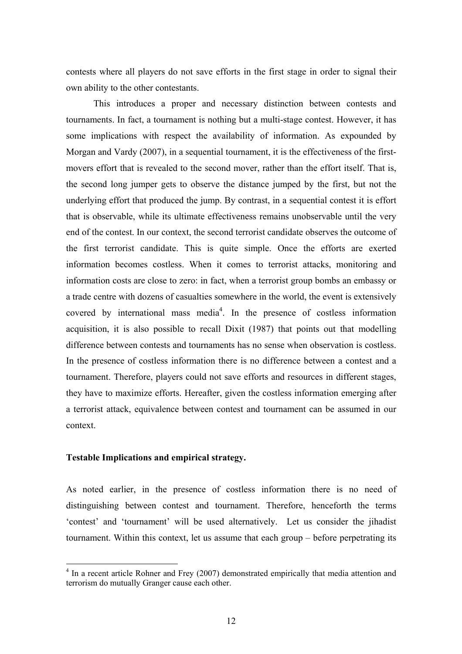contests where all players do not save efforts in the first stage in order to signal their own ability to the other contestants.

 This introduces a proper and necessary distinction between contests and tournaments. In fact, a tournament is nothing but a multi-stage contest. However, it has some implications with respect the availability of information. As expounded by Morgan and Vardy (2007), in a sequential tournament, it is the effectiveness of the firstmovers effort that is revealed to the second mover, rather than the effort itself. That is, the second long jumper gets to observe the distance jumped by the first, but not the underlying effort that produced the jump. By contrast, in a sequential contest it is effort that is observable, while its ultimate effectiveness remains unobservable until the very end of the contest. In our context, the second terrorist candidate observes the outcome of the first terrorist candidate. This is quite simple. Once the efforts are exerted information becomes costless. When it comes to terrorist attacks, monitoring and information costs are close to zero: in fact, when a terrorist group bombs an embassy or a trade centre with dozens of casualties somewhere in the world, the event is extensively covered by international mass media<sup>4</sup>. In the presence of costless information acquisition, it is also possible to recall Dixit (1987) that points out that modelling difference between contests and tournaments has no sense when observation is costless. In the presence of costless information there is no difference between a contest and a tournament. Therefore, players could not save efforts and resources in different stages, they have to maximize efforts. Hereafter, given the costless information emerging after a terrorist attack, equivalence between contest and tournament can be assumed in our context.

# **Testable Implications and empirical strategy.**

 $\overline{a}$ 

As noted earlier, in the presence of costless information there is no need of distinguishing between contest and tournament. Therefore, henceforth the terms 'contest' and 'tournament' will be used alternatively. Let us consider the jihadist tournament. Within this context, let us assume that each group – before perpetrating its

<sup>&</sup>lt;sup>4</sup> In a recent article Rohner and Frey (2007) demonstrated empirically that media attention and terrorism do mutually Granger cause each other.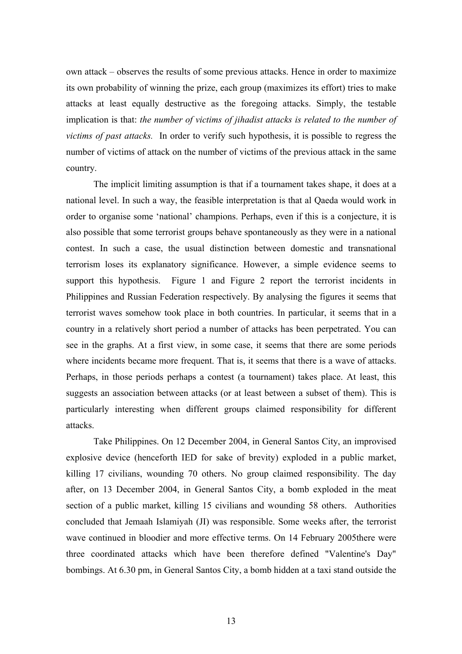own attack – observes the results of some previous attacks. Hence in order to maximize its own probability of winning the prize, each group (maximizes its effort) tries to make attacks at least equally destructive as the foregoing attacks. Simply, the testable implication is that: *the number of victims of jihadist attacks is related to the number of victims of past attacks.* In order to verify such hypothesis, it is possible to regress the number of victims of attack on the number of victims of the previous attack in the same country.

 The implicit limiting assumption is that if a tournament takes shape, it does at a national level. In such a way, the feasible interpretation is that al Qaeda would work in order to organise some 'national' champions. Perhaps, even if this is a conjecture, it is also possible that some terrorist groups behave spontaneously as they were in a national contest. In such a case, the usual distinction between domestic and transnational terrorism loses its explanatory significance. However, a simple evidence seems to support this hypothesis. Figure 1 and Figure 2 report the terrorist incidents in Philippines and Russian Federation respectively. By analysing the figures it seems that terrorist waves somehow took place in both countries. In particular, it seems that in a country in a relatively short period a number of attacks has been perpetrated. You can see in the graphs. At a first view, in some case, it seems that there are some periods where incidents became more frequent. That is, it seems that there is a wave of attacks. Perhaps, in those periods perhaps a contest (a tournament) takes place. At least, this suggests an association between attacks (or at least between a subset of them). This is particularly interesting when different groups claimed responsibility for different attacks.

 Take Philippines. On 12 December 2004, in General Santos City, an improvised explosive device (henceforth IED for sake of brevity) exploded in a public market, killing 17 civilians, wounding 70 others. No group claimed responsibility. The day after, on 13 December 2004, in General Santos City, a bomb exploded in the meat section of a public market, killing 15 civilians and wounding 58 others. Authorities concluded that Jemaah Islamiyah (JI) was responsible. Some weeks after, the terrorist wave continued in bloodier and more effective terms. On 14 February 2005there were three coordinated attacks which have been therefore defined "Valentine's Day" bombings. At 6.30 pm, in General Santos City, a bomb hidden at a taxi stand outside the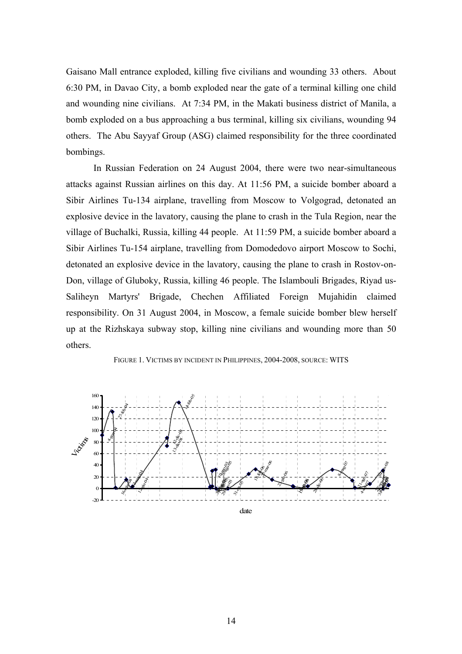Gaisano Mall entrance exploded, killing five civilians and wounding 33 others. About 6:30 PM, in Davao City, a bomb exploded near the gate of a terminal killing one child and wounding nine civilians. At 7:34 PM, in the Makati business district of Manila, a bomb exploded on a bus approaching a bus terminal, killing six civilians, wounding 94 others. The Abu Sayyaf Group (ASG) claimed responsibility for the three coordinated bombings.

 In Russian Federation on 24 August 2004, there were two near-simultaneous attacks against Russian airlines on this day. At 11:56 PM, a suicide bomber aboard a Sibir Airlines Tu-134 airplane, travelling from Moscow to Volgograd, detonated an explosive device in the lavatory, causing the plane to crash in the Tula Region, near the village of Buchalki, Russia, killing 44 people. At 11:59 PM, a suicide bomber aboard a Sibir Airlines Tu-154 airplane, travelling from Domodedovo airport Moscow to Sochi, detonated an explosive device in the lavatory, causing the plane to crash in Rostov-on-Don, village of Gluboky, Russia, killing 46 people. The Islambouli Brigades, Riyad us-Saliheyn Martyrs' Brigade, Chechen Affiliated Foreign Mujahidin claimed responsibility. On 31 August 2004, in Moscow, a female suicide bomber blew herself up at the Rizhskaya subway stop, killing nine civilians and wounding more than 50 others.



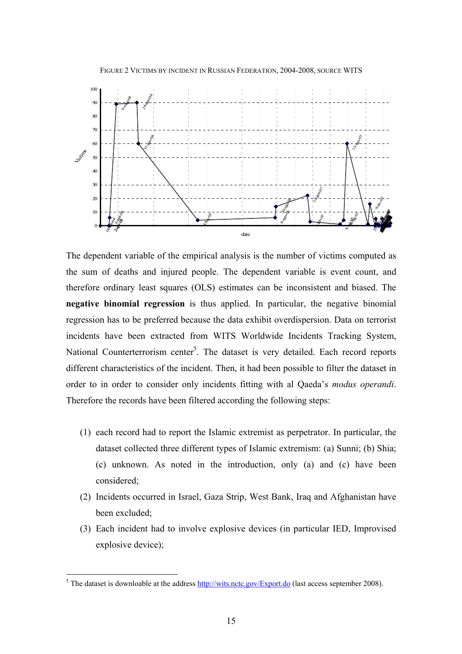



The dependent variable of the empirical analysis is the number of victims computed as the sum of deaths and injured people. The dependent variable is event count, and therefore ordinary least squares (OLS) estimates can be inconsistent and biased. The **negative binomial regression** is thus applied. In particular, the negative binomial regression has to be preferred because the data exhibit overdispersion. Data on terrorist incidents have been extracted from WITS Worldwide Incidents Tracking System, National Counterterrorism center<sup>5</sup>. The dataset is very detailed. Each record reports different characteristics of the incident. Then, it had been possible to filter the dataset in order to in order to consider only incidents fitting with al Qaeda's *modus operandi*. Therefore the records have been filtered according the following steps:

- (1) each record had to report the Islamic extremist as perpetrator. In particular, the dataset collected three different types of Islamic extremism: (a) Sunni; (b) Shia; (c) unknown. As noted in the introduction, only (a) and (c) have been considered;
- (2) Incidents occurred in Israel, Gaza Strip, West Bank, Iraq and Afghanistan have been excluded;
- (3) Each incident had to involve explosive devices (in particular IED, Improvised explosive device);

<sup>&</sup>lt;sup>5</sup> The dataset is downloable at the address <u>http://wits.nctc.gov/Export.do</u> (last access september 2008).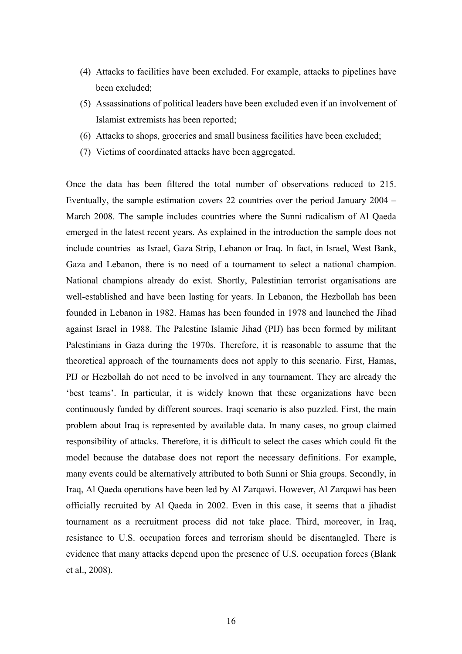- (4) Attacks to facilities have been excluded. For example, attacks to pipelines have been excluded;
- (5) Assassinations of political leaders have been excluded even if an involvement of Islamist extremists has been reported;
- (6) Attacks to shops, groceries and small business facilities have been excluded;
- (7) Victims of coordinated attacks have been aggregated.

Once the data has been filtered the total number of observations reduced to 215. Eventually, the sample estimation covers 22 countries over the period January 2004 – March 2008. The sample includes countries where the Sunni radicalism of Al Qaeda emerged in the latest recent years. As explained in the introduction the sample does not include countries as Israel, Gaza Strip, Lebanon or Iraq. In fact, in Israel, West Bank, Gaza and Lebanon, there is no need of a tournament to select a national champion. National champions already do exist. Shortly, Palestinian terrorist organisations are well-established and have been lasting for years. In Lebanon, the Hezbollah has been founded in Lebanon in 1982. Hamas has been founded in 1978 and launched the Jihad against Israel in 1988. The Palestine Islamic Jihad (PIJ) has been formed by militant Palestinians in Gaza during the 1970s. Therefore, it is reasonable to assume that the theoretical approach of the tournaments does not apply to this scenario. First, Hamas, PIJ or Hezbollah do not need to be involved in any tournament. They are already the 'best teams'. In particular, it is widely known that these organizations have been continuously funded by different sources. Iraqi scenario is also puzzled. First, the main problem about Iraq is represented by available data. In many cases, no group claimed responsibility of attacks. Therefore, it is difficult to select the cases which could fit the model because the database does not report the necessary definitions. For example, many events could be alternatively attributed to both Sunni or Shia groups. Secondly, in Iraq, Al Qaeda operations have been led by Al Zarqawi. However, Al Zarqawi has been officially recruited by Al Qaeda in 2002. Even in this case, it seems that a jihadist tournament as a recruitment process did not take place. Third, moreover, in Iraq, resistance to U.S. occupation forces and terrorism should be disentangled. There is evidence that many attacks depend upon the presence of U.S. occupation forces (Blank et al., 2008).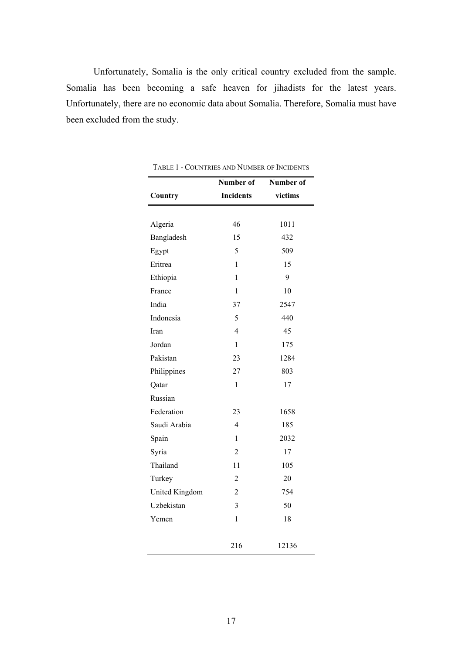Unfortunately, Somalia is the only critical country excluded from the sample. Somalia has been becoming a safe heaven for jihadists for the latest years. Unfortunately, there are no economic data about Somalia. Therefore, Somalia must have been excluded from the study.

|                | Number of        | Number of |
|----------------|------------------|-----------|
| Country        | <b>Incidents</b> | victims   |
|                |                  |           |
| Algeria        | 46               | 1011      |
| Bangladesh     | 15               | 432       |
| Egypt          | 5                | 509       |
| Eritrea        | 1                | 15        |
| Ethiopia       | $\mathbf{1}$     | 9         |
| France         | 1                | 10        |
| India          | 37               | 2547      |
| Indonesia      | 5                | 440       |
| Iran           | 4                | 45        |
| Jordan         | 1                | 175       |
| Pakistan       | 23               | 1284      |
| Philippines    | 27               | 803       |
| Qatar          | $\mathbf{1}$     | 17        |
| Russian        |                  |           |
| Federation     | 23               | 1658      |
| Saudi Arabia   | $\overline{4}$   | 185       |
| Spain          | $\mathbf{1}$     | 2032      |
| Syria          | $\overline{2}$   | 17        |
| Thailand       | 11               | 105       |
| Turkey         | $\overline{c}$   | 20        |
| United Kingdom | $\overline{2}$   | 754       |
| Uzbekistan     | 3                | 50        |
| Yemen          | $\mathbf{1}$     | 18        |
|                | 216              | 12136     |

TABLE 1 - COUNTRIES AND NUMBER OF INCIDENTS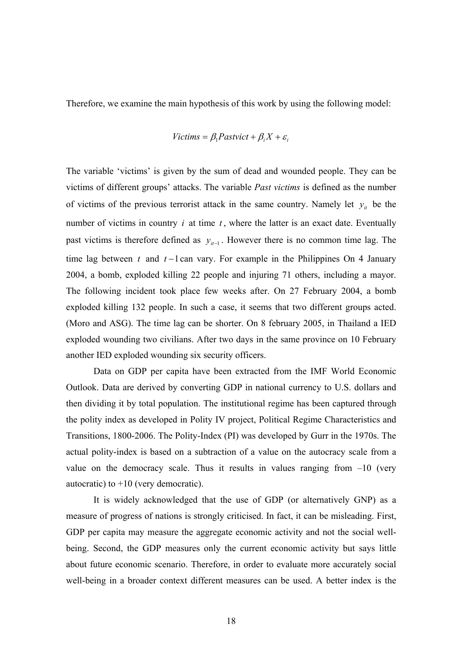Therefore, we examine the main hypothesis of this work by using the following model:

# $Victims = \beta_1$ *Pastvict* +  $\beta_1 X + \varepsilon_1$

The variable 'victims' is given by the sum of dead and wounded people. They can be victims of different groups' attacks. The variable *Past victims* is defined as the number of victims of the previous terrorist attack in the same country. Namely let  $y_i$  be the number of victims in country  $i$  at time  $t$ , where the latter is an exact date. Eventually past victims is therefore defined as  $y_{i-1}$ . However there is no common time lag. The time lag between *t* and *t* −1can vary. For example in the Philippines On 4 January 2004, a bomb, exploded killing 22 people and injuring 71 others, including a mayor. The following incident took place few weeks after. On 27 February 2004, a bomb exploded killing 132 people. In such a case, it seems that two different groups acted. (Moro and ASG). The time lag can be shorter. On 8 february 2005, in Thailand a IED exploded wounding two civilians. After two days in the same province on 10 February another IED exploded wounding six security officers.

 Data on GDP per capita have been extracted from the IMF World Economic Outlook. Data are derived by converting GDP in national currency to U.S. dollars and then dividing it by total population. The institutional regime has been captured through the polity index as developed in Polity IV project, Political Regime Characteristics and Transitions, 1800-2006. The Polity-Index (PI) was developed by Gurr in the 1970s. The actual polity-index is based on a subtraction of a value on the autocracy scale from a value on the democracy scale. Thus it results in values ranging from  $-10$  (very autocratic) to  $+10$  (very democratic).

 It is widely acknowledged that the use of GDP (or alternatively GNP) as a measure of progress of nations is strongly criticised. In fact, it can be misleading. First, GDP per capita may measure the aggregate economic activity and not the social wellbeing. Second, the GDP measures only the current economic activity but says little about future economic scenario. Therefore, in order to evaluate more accurately social well-being in a broader context different measures can be used. A better index is the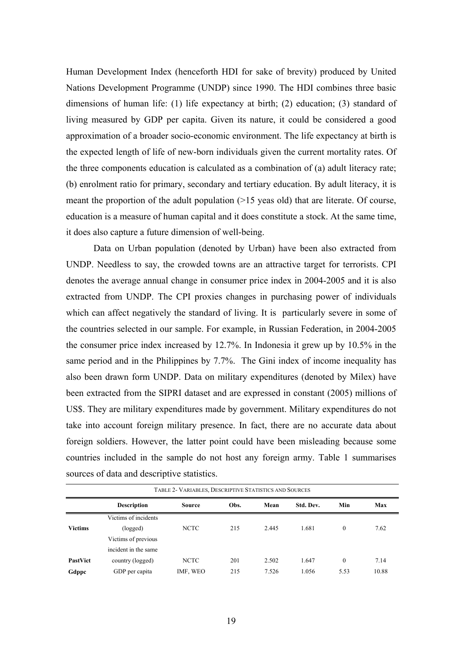Human Development Index (henceforth HDI for sake of brevity) produced by United Nations Development Programme (UNDP) since 1990. The HDI combines three basic dimensions of human life: (1) life expectancy at birth; (2) education; (3) standard of living measured by GDP per capita. Given its nature, it could be considered a good approximation of a broader socio-economic environment. The life expectancy at birth is the expected length of life of new-born individuals given the current mortality rates. Of the three components education is calculated as a combination of (a) adult literacy rate; (b) enrolment ratio for primary, secondary and tertiary education. By adult literacy, it is meant the proportion of the adult population (>15 yeas old) that are literate. Of course, education is a measure of human capital and it does constitute a stock. At the same time, it does also capture a future dimension of well-being.

 Data on Urban population (denoted by Urban) have been also extracted from UNDP. Needless to say, the crowded towns are an attractive target for terrorists. CPI denotes the average annual change in consumer price index in 2004-2005 and it is also extracted from UNDP. The CPI proxies changes in purchasing power of individuals which can affect negatively the standard of living. It is particularly severe in some of the countries selected in our sample. For example, in Russian Federation, in 2004-2005 the consumer price index increased by 12.7%. In Indonesia it grew up by 10.5% in the same period and in the Philippines by 7.7%. The Gini index of income inequality has also been drawn form UNDP. Data on military expenditures (denoted by Milex) have been extracted from the SIPRI dataset and are expressed in constant (2005) millions of US\$. They are military expenditures made by government. Military expenditures do not take into account foreign military presence. In fact, there are no accurate data about foreign soldiers. However, the latter point could have been misleading because some countries included in the sample do not host any foreign army. Table 1 summarises sources of data and descriptive statistics.

| TABLE 2- VARIABLES, DESCRIPTIVE STATISTICS AND SOURCES |                                                                                |             |     |       |       |          |       |  |  |  |  |  |
|--------------------------------------------------------|--------------------------------------------------------------------------------|-------------|-----|-------|-------|----------|-------|--|--|--|--|--|
|                                                        | <b>Description</b><br>Obs.<br>Min<br>Std. Dev.<br>Max<br>Mean<br><b>Source</b> |             |     |       |       |          |       |  |  |  |  |  |
|                                                        | Victims of incidents                                                           |             |     |       |       |          |       |  |  |  |  |  |
| <b>Victims</b>                                         | (logged)                                                                       | <b>NCTC</b> | 215 | 2.445 | 1.681 | $\theta$ | 7.62  |  |  |  |  |  |
|                                                        | Victims of previous                                                            |             |     |       |       |          |       |  |  |  |  |  |
|                                                        | incident in the same                                                           |             |     |       |       |          |       |  |  |  |  |  |
| PastVict                                               | country (logged)                                                               | <b>NCTC</b> | 201 | 2.502 | 1.647 | $\theta$ | 7.14  |  |  |  |  |  |
| Gdppc                                                  | GDP per capita                                                                 | IMF, WEO    | 215 | 7.526 | 1.056 | 5.53     | 10.88 |  |  |  |  |  |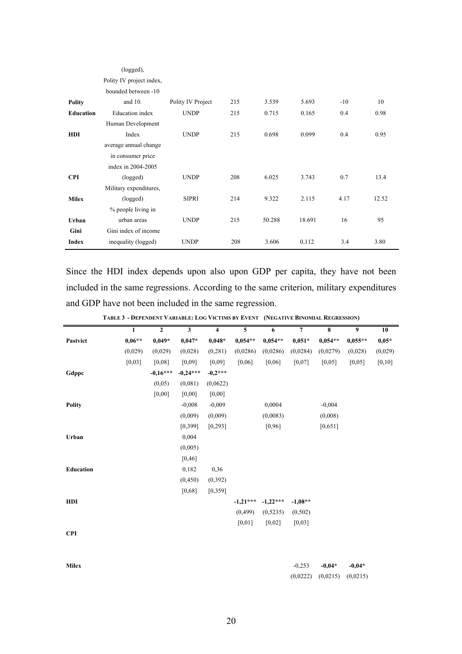|                  | (logged),                |                   |     |        |        |       |       |
|------------------|--------------------------|-------------------|-----|--------|--------|-------|-------|
|                  | Polity IV project index, |                   |     |        |        |       |       |
|                  | bounded between -10      |                   |     |        |        |       |       |
| <b>Polity</b>    | and $10$ .               | Polity IV Project | 215 | 3.539  | 5.693  | $-10$ | 10    |
| <b>Education</b> | <b>Education</b> index   | <b>UNDP</b>       | 215 | 0.715  | 0.165  | 0.4   | 0.98  |
|                  | Human Development        |                   |     |        |        |       |       |
| <b>HDI</b>       | Index                    | <b>UNDP</b>       | 215 | 0.698  | 0.099  | 0.4   | 0.95  |
|                  | average annual change    |                   |     |        |        |       |       |
|                  | in consumer price        |                   |     |        |        |       |       |
|                  | index in 2004-2005       |                   |     |        |        |       |       |
| <b>CPI</b>       | (logged)                 | <b>UNDP</b>       | 208 | 6.025  | 3.743  | 0.7   | 13.4  |
|                  | Military expenditures,   |                   |     |        |        |       |       |
| <b>Milex</b>     | (logged)                 | <b>SIPRI</b>      | 214 | 9.322  | 2.115  | 4.17  | 12.52 |
|                  | % people living in       |                   |     |        |        |       |       |
| Urban            | urban areas              | <b>UNDP</b>       | 215 | 50.288 | 18.691 | 16    | 95    |
| Gini             | Gini index of income     |                   |     |        |        |       |       |
| Index            | inequality (logged)      | <b>UNDP</b>       | 208 | 3.606  | 0,112  | 3.4   | 3.80  |

Since the HDI index depends upon also upon GDP per capita, they have not been included in the same regressions. According to the same criterion, military expenditures and GDP have not been included in the same regression.

|              | 1        | $\overline{2}$ | $\overline{\mathbf{3}}$ | $\overline{\mathbf{4}}$ | 5          | 6          | $\overline{7}$ | 8         | 9         | 10      |
|--------------|----------|----------------|-------------------------|-------------------------|------------|------------|----------------|-----------|-----------|---------|
| Pastvict     | $0,06**$ | $0,049*$       | $0,047*$                | $0,048*$                | $0,054**$  | $0,054**$  | $0,051*$       | $0,054**$ | $0,055**$ | $0,05*$ |
|              | (0,029)  | (0,029)        | (0,028)                 | (0, 281)                | (0,0286)   | (0,0286)   | (0,0284)       | (0,0279)  | (0,028)   | (0,029) |
|              | [0,03]   | [0,08]         | [0,09]                  | [0,09]                  | [0,06]     | [0,06]     | [0,07]         | [0,05]    | [0,05]    | [0, 10] |
| Gdppc        |          | $-0.16***$     | $-0,24***$              | $-0,2***$               |            |            |                |           |           |         |
|              |          | (0,05)         | (0,081)                 | (0,0622)                |            |            |                |           |           |         |
|              |          | $[0,00]$       | [0,00]                  | [0,00]                  |            |            |                |           |           |         |
| Polity       |          |                | $-0,008$                | $-0,009$                |            | 0,0004     |                | $-0.004$  |           |         |
|              |          |                | (0,009)                 | (0,009)                 |            | (0,0083)   |                | (0,008)   |           |         |
|              |          |                | [0, 399]                | [0, 293]                |            | [0,96]     |                | [0,651]   |           |         |
| Urban        |          |                | 0,004                   |                         |            |            |                |           |           |         |
|              |          |                | (0,005)                 |                         |            |            |                |           |           |         |
|              |          |                | [0, 46]                 |                         |            |            |                |           |           |         |
| Education    |          |                | 0,182                   | 0,36                    |            |            |                |           |           |         |
|              |          |                | (0, 450)                | (0, 392)                |            |            |                |           |           |         |
|              |          |                | [0,68]                  | [0, 359]                |            |            |                |           |           |         |
| <b>HDI</b>   |          |                |                         |                         | $-1,21***$ | $-1,22***$ | $-1,08**$      |           |           |         |
|              |          |                |                         |                         | (0, 499)   | (0,5235)   | (0,502)        |           |           |         |
|              |          |                |                         |                         | [0,01]     | [0,02]     | [0,03]         |           |           |         |
| <b>CPI</b>   |          |                |                         |                         |            |            |                |           |           |         |
|              |          |                |                         |                         |            |            |                |           |           |         |
|              |          |                |                         |                         |            |            |                |           |           |         |
| <b>Milex</b> |          |                |                         |                         |            |            | $-0,253$       | $-0.04*$  | $-0.04*$  |         |
|              |          |                |                         |                         |            |            | (0,0222)       | (0,0215)  | (0,0215)  |         |

TABLE 3 - DEPENDENT VARIABLE: LOG VICTIMS BY EVENT (NEGATIVE BINOMIAL REGRESSION)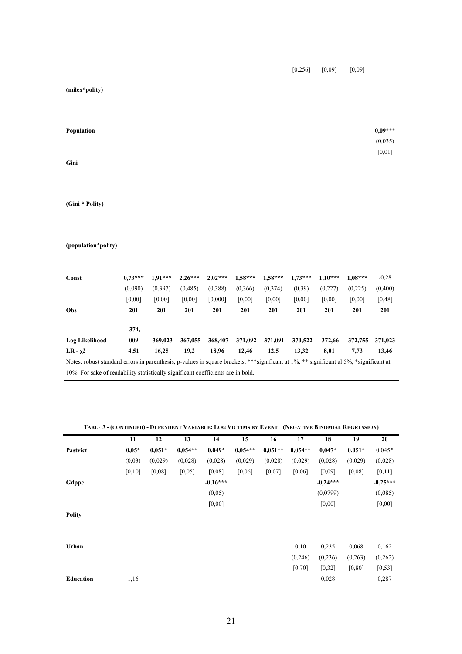[0,256] [0,09] [0,09]

**(milex\*polity)** 

| Population | $0,09***$ |
|------------|-----------|
|            | (0,035)   |
|            | $[0,01]$  |
| Gini       |           |

**(Gini \* Polity)** 

### **(population\*polity)**

| Const                                                                                                                                   | $0.73***$ | $1.91***$  | $2.26***$  | $2,02***$  | $1,58***$ | $1,58***$ | $1.73***$  | $1.10***$ | $1.08***$  | $-0.28$ |
|-----------------------------------------------------------------------------------------------------------------------------------------|-----------|------------|------------|------------|-----------|-----------|------------|-----------|------------|---------|
|                                                                                                                                         | (0.090)   | (0,397)    | (0, 485)   | (0,388)    | (0, 366)  | (0,374)   | (0,39)     | (0,227)   | (0,225)    | (0,400) |
|                                                                                                                                         |           |            |            |            |           |           |            |           |            |         |
|                                                                                                                                         | [0,00]    | [0,00]     | [0,00]     | [0,000]    | [0,00]    | [0,00]    | [0,00]     | [0,00]    | [0,00]     | [0, 48] |
| <b>Obs</b>                                                                                                                              | 201       | 201        | 201        | 201        | 201       | 201       | 201        | 201       | 201        | 201     |
|                                                                                                                                         |           |            |            |            |           |           |            |           |            |         |
|                                                                                                                                         | $-374,$   |            |            |            |           |           |            |           |            |         |
| Log Likelihood                                                                                                                          | 009       | $-369.023$ | $-367.055$ | $-368,407$ | -371.092  | -371.091  | $-370.522$ | $-372.66$ | $-372.755$ | 371.023 |
| LR - $\chi$ 2                                                                                                                           | 4,51      | 16,25      | 19,2       | 18,96      | 12,46     | 12,5      | 13,32      | 8,01      | 7.73       | 13,46   |
| Notes: robust standard errors in parenthesis, p-values in square brackets, *** significant at 1%, ** significant al 5%. *significant at |           |            |            |            |           |           |            |           |            |         |

10%. For sake of readability statistically significant coefficients are in bold.

#### TABLE 3 - (CONTINUED) - DEPENDENT VARIABLE: LOG VICTIMS BY EVENT (NEGATIVE BINOMIAL REGRESSION)

|               | 11      | 12       | 13        | 14         | 15        | 16        | 17        | 18         | 19       | 20         |
|---------------|---------|----------|-----------|------------|-----------|-----------|-----------|------------|----------|------------|
| Pastvict      | $0,05*$ | $0,051*$ | $0,054**$ | $0.049*$   | $0.054**$ | $0.051**$ | $0,054**$ | $0.047*$   | $0,051*$ | $0,045*$   |
|               | (0,03)  | (0,029)  | (0,028)   | (0,028)    | (0,029)   | (0,028)   | (0,029)   | (0,028)    | (0,029)  | (0,028)    |
|               | [0,10]  | [0,08]   | [0,05]    | [0,08]     | [0,06]    | [0,07]    | [0,06]    | [0,09]     | [0,08]   | [0,11]     |
| Gdppc         |         |          |           | $-0,16***$ |           |           |           | $-0.24***$ |          | $-0.25***$ |
|               |         |          |           | (0,05)     |           |           |           | (0,0799)   |          | (0,085)    |
|               |         |          |           | [0,00]     |           |           |           | [0,00]     |          | [0,00]     |
| <b>Polity</b> |         |          |           |            |           |           |           |            |          |            |
|               |         |          |           |            |           |           |           |            |          |            |
|               |         |          |           |            |           |           |           |            |          |            |
| Urban         |         |          |           |            |           |           | 0,10      | 0,235      | 0,068    | 0,162      |
|               |         |          |           |            |           |           | (0, 246)  | (0,236)    | (0, 263) | (0, 262)   |
|               |         |          |           |            |           |           | [0, 70]   | [0, 32]    | [0,80]   | [0, 53]    |
| Education     | 1,16    |          |           |            |           |           |           | 0,028      |          | 0,287      |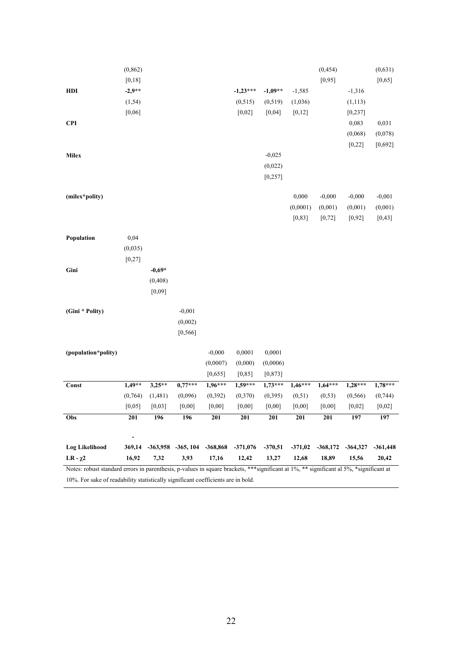| Notes: robust standard errors in parenthesis, p-values in square brackets, ***significant at 1%, ** significant al 5%, *significant at<br>10%. For sake of readability statistically significant coefficients are in bold. |          |          |                       |           |            |           |           |            |            |            |
|----------------------------------------------------------------------------------------------------------------------------------------------------------------------------------------------------------------------------|----------|----------|-----------------------|-----------|------------|-----------|-----------|------------|------------|------------|
| LR - $\chi$ 2                                                                                                                                                                                                              | 16,92    | 7,32     | 3,93                  | 17,16     | 12,42      | 13,27     | 12,68     | 18,89      | 15,56      | 20,42      |
| <b>Log Likelihood</b>                                                                                                                                                                                                      | 369,14   |          | $-363,958$ $-365,104$ | -368,868  | $-371,076$ | $-370,51$ | $-371,02$ | $-368,172$ | $-364,327$ | $-361,448$ |
| Obs                                                                                                                                                                                                                        | 201      | 196      | 196                   | 201       | <b>201</b> | 201       | 201       | <b>201</b> | 197        | 197        |
|                                                                                                                                                                                                                            | [0,05]   | [0,03]   | [0,00]                | [0,00]    | [0,00]     | [0,00]    | [0,00]    | [0,00]     | [0,02]     | [0,02]     |
|                                                                                                                                                                                                                            | (0, 764) | (1, 481) | (0,096)               | (0, 392)  | (0, 370)   | (0, 395)  | (0, 51)   | (0, 53)    | (0, 566)   | (0, 744)   |
| Const                                                                                                                                                                                                                      | $1,49**$ | $3,25**$ | $0,77***$             | $1,96***$ | $1,59***$  | $1,73***$ | $1,46***$ | $1,64***$  | $1,28***$  | $1,78***$  |
|                                                                                                                                                                                                                            |          |          |                       | [0, 655]  | [0, 85]    | [0, 873]  |           |            |            |            |
|                                                                                                                                                                                                                            |          |          |                       | (0,0007)  | (0,000)    | (0,0006)  |           |            |            |            |
| (population*polity)                                                                                                                                                                                                        |          |          |                       | $-0,000$  | 0,0001     | 0,0001    |           |            |            |            |
|                                                                                                                                                                                                                            |          |          | [0, 566]              |           |            |           |           |            |            |            |
|                                                                                                                                                                                                                            |          |          | (0,002)               |           |            |           |           |            |            |            |
| (Gini * Polity)                                                                                                                                                                                                            |          |          | $-0,001$              |           |            |           |           |            |            |            |
|                                                                                                                                                                                                                            |          | [0,09]   |                       |           |            |           |           |            |            |            |
|                                                                                                                                                                                                                            |          | (0, 408) |                       |           |            |           |           |            |            |            |
| Gini                                                                                                                                                                                                                       |          | $-0,69*$ |                       |           |            |           |           |            |            |            |
|                                                                                                                                                                                                                            | [0, 27]  |          |                       |           |            |           |           |            |            |            |
|                                                                                                                                                                                                                            | (0,035)  |          |                       |           |            |           |           |            |            |            |
| Population                                                                                                                                                                                                                 | 0,04     |          |                       |           |            |           |           |            |            |            |
|                                                                                                                                                                                                                            |          |          |                       |           |            |           | [0, 83]   | [0, 72]    | [0, 92]    | [0, 43]    |
|                                                                                                                                                                                                                            |          |          |                       |           |            |           | (0,0001)  | (0,001)    | (0,001)    | (0,001)    |
| (milex*polity)                                                                                                                                                                                                             |          |          |                       |           |            |           | 0,000     | $-0,000$   | $-0,000$   | $-0,001$   |
|                                                                                                                                                                                                                            |          |          |                       |           |            | [0, 257]  |           |            |            |            |
|                                                                                                                                                                                                                            |          |          |                       |           |            | (0,022)   |           |            |            |            |
| Milex                                                                                                                                                                                                                      |          |          |                       |           |            | $-0,025$  |           |            |            |            |
|                                                                                                                                                                                                                            |          |          |                       |           |            |           |           |            | [0, 22]    | [0,692]    |
|                                                                                                                                                                                                                            |          |          |                       |           |            |           |           |            | (0,068)    | (0,078)    |
| <b>CPI</b>                                                                                                                                                                                                                 |          |          |                       |           |            |           |           |            | 0,083      | 0,031      |
|                                                                                                                                                                                                                            | [0,06]   |          |                       |           | [0,02]     | [0,04]    | [0, 12]   |            | [0, 237]   |            |
|                                                                                                                                                                                                                            | (1, 54)  |          |                       |           | (0, 515)   | (0, 519)  | (1,036)   |            | (1, 113)   |            |
| HDI                                                                                                                                                                                                                        | $-2,9**$ |          |                       |           | $-1,23***$ | $-1,09**$ | $-1,585$  |            | $-1,316$   |            |
|                                                                                                                                                                                                                            | [0,18]   |          |                       |           |            |           |           | [0, 95]    |            | [0,65]     |
|                                                                                                                                                                                                                            | (0, 862) |          |                       |           |            |           |           | (0, 454)   |            | (0,631)    |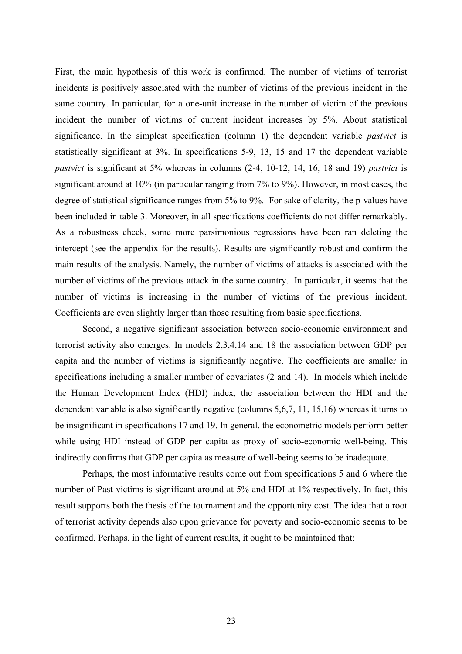First, the main hypothesis of this work is confirmed. The number of victims of terrorist incidents is positively associated with the number of victims of the previous incident in the same country. In particular, for a one-unit increase in the number of victim of the previous incident the number of victims of current incident increases by 5%. About statistical significance. In the simplest specification (column 1) the dependent variable *pastvict* is statistically significant at 3%. In specifications 5-9, 13, 15 and 17 the dependent variable *pastvict* is significant at 5% whereas in columns (2-4, 10-12, 14, 16, 18 and 19) *pastvict* is significant around at 10% (in particular ranging from 7% to 9%). However, in most cases, the degree of statistical significance ranges from 5% to 9%. For sake of clarity, the p-values have been included in table 3. Moreover, in all specifications coefficients do not differ remarkably. As a robustness check, some more parsimonious regressions have been ran deleting the intercept (see the appendix for the results). Results are significantly robust and confirm the main results of the analysis. Namely, the number of victims of attacks is associated with the number of victims of the previous attack in the same country. In particular, it seems that the number of victims is increasing in the number of victims of the previous incident. Coefficients are even slightly larger than those resulting from basic specifications.

 Second, a negative significant association between socio-economic environment and terrorist activity also emerges. In models 2,3,4,14 and 18 the association between GDP per capita and the number of victims is significantly negative. The coefficients are smaller in specifications including a smaller number of covariates (2 and 14). In models which include the Human Development Index (HDI) index, the association between the HDI and the dependent variable is also significantly negative (columns 5,6,7, 11, 15,16) whereas it turns to be insignificant in specifications 17 and 19. In general, the econometric models perform better while using HDI instead of GDP per capita as proxy of socio-economic well-being. This indirectly confirms that GDP per capita as measure of well-being seems to be inadequate.

 Perhaps, the most informative results come out from specifications 5 and 6 where the number of Past victims is significant around at 5% and HDI at 1% respectively. In fact, this result supports both the thesis of the tournament and the opportunity cost. The idea that a root of terrorist activity depends also upon grievance for poverty and socio-economic seems to be confirmed. Perhaps, in the light of current results, it ought to be maintained that: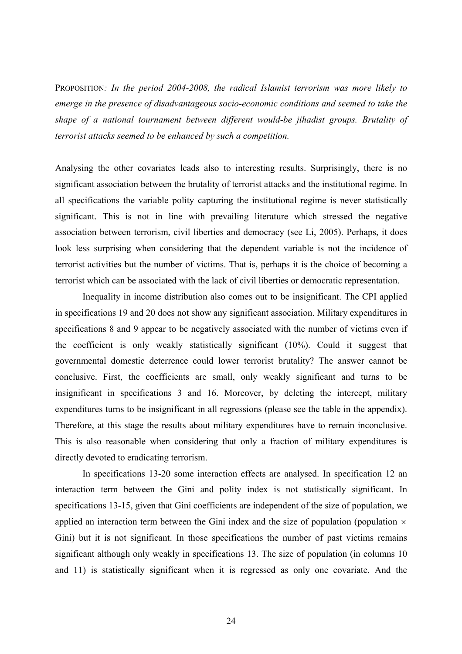PROPOSITION*: In the period 2004-2008, the radical Islamist terrorism was more likely to emerge in the presence of disadvantageous socio-economic conditions and seemed to take the shape of a national tournament between different would-be jihadist groups. Brutality of terrorist attacks seemed to be enhanced by such a competition.* 

Analysing the other covariates leads also to interesting results. Surprisingly, there is no significant association between the brutality of terrorist attacks and the institutional regime. In all specifications the variable polity capturing the institutional regime is never statistically significant. This is not in line with prevailing literature which stressed the negative association between terrorism, civil liberties and democracy (see Li, 2005). Perhaps, it does look less surprising when considering that the dependent variable is not the incidence of terrorist activities but the number of victims. That is, perhaps it is the choice of becoming a terrorist which can be associated with the lack of civil liberties or democratic representation.

 Inequality in income distribution also comes out to be insignificant. The CPI applied in specifications 19 and 20 does not show any significant association. Military expenditures in specifications 8 and 9 appear to be negatively associated with the number of victims even if the coefficient is only weakly statistically significant (10%). Could it suggest that governmental domestic deterrence could lower terrorist brutality? The answer cannot be conclusive. First, the coefficients are small, only weakly significant and turns to be insignificant in specifications 3 and 16. Moreover, by deleting the intercept, military expenditures turns to be insignificant in all regressions (please see the table in the appendix). Therefore, at this stage the results about military expenditures have to remain inconclusive. This is also reasonable when considering that only a fraction of military expenditures is directly devoted to eradicating terrorism.

 In specifications 13-20 some interaction effects are analysed. In specification 12 an interaction term between the Gini and polity index is not statistically significant. In specifications 13-15, given that Gini coefficients are independent of the size of population, we applied an interaction term between the Gini index and the size of population (population  $\times$ Gini) but it is not significant. In those specifications the number of past victims remains significant although only weakly in specifications 13. The size of population (in columns 10 and 11) is statistically significant when it is regressed as only one covariate. And the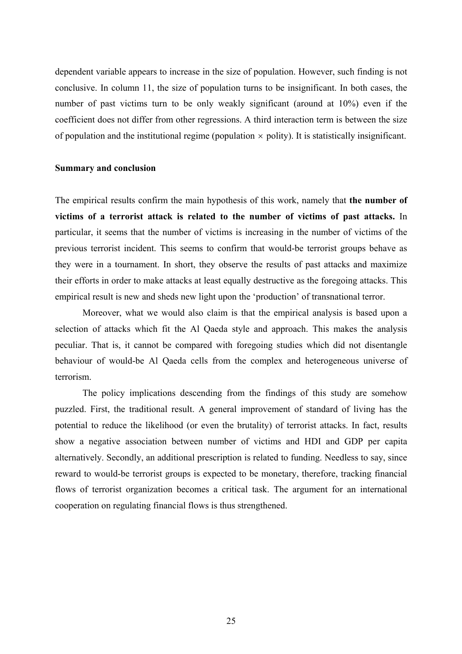dependent variable appears to increase in the size of population. However, such finding is not conclusive. In column 11, the size of population turns to be insignificant. In both cases, the number of past victims turn to be only weakly significant (around at 10%) even if the coefficient does not differ from other regressions. A third interaction term is between the size of population and the institutional regime (population  $\times$  polity). It is statistically insignificant.

## **Summary and conclusion**

The empirical results confirm the main hypothesis of this work, namely that **the number of victims of a terrorist attack is related to the number of victims of past attacks.** In particular, it seems that the number of victims is increasing in the number of victims of the previous terrorist incident. This seems to confirm that would-be terrorist groups behave as they were in a tournament. In short, they observe the results of past attacks and maximize their efforts in order to make attacks at least equally destructive as the foregoing attacks. This empirical result is new and sheds new light upon the 'production' of transnational terror.

 Moreover, what we would also claim is that the empirical analysis is based upon a selection of attacks which fit the Al Qaeda style and approach. This makes the analysis peculiar. That is, it cannot be compared with foregoing studies which did not disentangle behaviour of would-be Al Qaeda cells from the complex and heterogeneous universe of terrorism.

The policy implications descending from the findings of this study are somehow puzzled. First, the traditional result. A general improvement of standard of living has the potential to reduce the likelihood (or even the brutality) of terrorist attacks. In fact, results show a negative association between number of victims and HDI and GDP per capita alternatively. Secondly, an additional prescription is related to funding. Needless to say, since reward to would-be terrorist groups is expected to be monetary, therefore, tracking financial flows of terrorist organization becomes a critical task. The argument for an international cooperation on regulating financial flows is thus strengthened.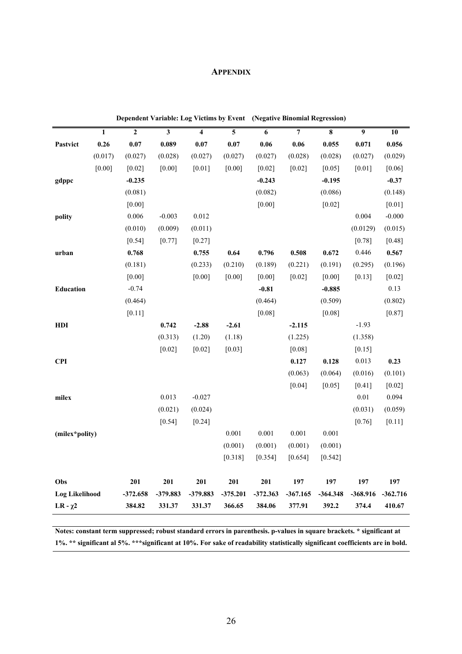# **APPENDIX**

|                       |              | Dependent Variable: Log Victims by Event (Negative Binomial Regression) |          |                         |            |            |                |            |                |            |
|-----------------------|--------------|-------------------------------------------------------------------------|----------|-------------------------|------------|------------|----------------|------------|----------------|------------|
|                       | $\mathbf{1}$ | $\mathbf{2}$                                                            | 3        | $\overline{\mathbf{4}}$ | 5          | 6          | $\overline{7}$ | 8          | $\overline{9}$ | 10         |
| Pastvict              | 0.26         | 0.07                                                                    | 0.089    | 0.07                    | 0.07       | 0.06       | 0.06           | 0.055      | 0.071          | 0.056      |
|                       | (0.017)      | (0.027)                                                                 | (0.028)  | (0.027)                 | (0.027)    | (0.027)    | (0.028)        | (0.028)    | (0.027)        | (0.029)    |
|                       | $[0.00]$     | $[0.02]$                                                                | [0.00]   | $[0.01]$                | [0.00]     | $[0.02]$   | $[0.02]$       | $[0.05]$   | $[0.01]$       | $[0.06]$   |
| gdppc                 |              | $-0.235$                                                                |          |                         |            | $-0.243$   |                | $-0.195$   |                | $-0.37$    |
|                       |              | (0.081)                                                                 |          |                         |            | (0.082)    |                | (0.086)    |                | (0.148)    |
|                       |              | $[0.00]$                                                                |          |                         |            | $[0.00]$   |                | $[0.02]$   |                | $[0.01]$   |
| polity                |              | 0.006                                                                   | $-0.003$ | 0.012                   |            |            |                |            | 0.004          | $-0.000$   |
|                       |              | (0.010)                                                                 | (0.009)  | (0.011)                 |            |            |                |            | (0.0129)       | (0.015)    |
|                       |              | [0.54]                                                                  | [0.77]   | $[0.27]$                |            |            |                |            | $[0.78]$       | $[0.48]$   |
| urban                 |              | 0.768                                                                   |          | 0.755                   | 0.64       | 0.796      | 0.508          | 0.672      | 0.446          | 0.567      |
|                       |              | (0.181)                                                                 |          | (0.233)                 | (0.210)    | (0.189)    | (0.221)        | (0.191)    | (0.295)        | (0.196)    |
|                       |              | [0.00]                                                                  |          | [0.00]                  | [0.00]     | [0.00]     | [0.02]         | [0.00]     | [0.13]         | $[0.02]$   |
| Education             |              | $-0.74$                                                                 |          |                         |            | $-0.81$    |                | $-0.885$   |                | 0.13       |
|                       |              | (0.464)                                                                 |          |                         |            | (0.464)    |                | (0.509)    |                | (0.802)    |
|                       |              | $[0.11]$                                                                |          |                         |            | [0.08]     |                | [0.08]     |                | [0.87]     |
| HDI                   |              |                                                                         | 0.742    | $-2.88$                 | $-2.61$    |            | $-2.115$       |            | $-1.93$        |            |
|                       |              |                                                                         | (0.313)  | (1.20)                  | (1.18)     |            | (1.225)        |            | (1.358)        |            |
|                       |              |                                                                         | [0.02]   | $[0.02]$                | [0.03]     |            | [0.08]         |            | [0.15]         |            |
| <b>CPI</b>            |              |                                                                         |          |                         |            |            | 0.127          | 0.128      | 0.013          | 0.23       |
|                       |              |                                                                         |          |                         |            |            | (0.063)        | (0.064)    | (0.016)        | (0.101)    |
|                       |              |                                                                         |          |                         |            |            | [0.04]         | [0.05]     | $[0.41]$       | $[0.02]$   |
| milex                 |              |                                                                         | 0.013    | $-0.027$                |            |            |                |            | $0.01\,$       | 0.094      |
|                       |              |                                                                         | (0.021)  | (0.024)                 |            |            |                |            | (0.031)        | (0.059)    |
|                       |              |                                                                         | $[0.54]$ | [0.24]                  |            |            |                |            | $[0.76]$       | $[0.11]$   |
| (milex*polity)        |              |                                                                         |          |                         | 0.001      | 0.001      | 0.001          | 0.001      |                |            |
|                       |              |                                                                         |          |                         | (0.001)    | (0.001)    | (0.001)        | (0.001)    |                |            |
|                       |              |                                                                         |          |                         | [0.318]    | [0.354]    | [0.654]        | [0.542]    |                |            |
| Obs                   |              | 201                                                                     | 201      | 201                     | 201        | 201        | 197            | 197        | 197            | 197        |
| <b>Log Likelihood</b> |              | $-372.658$                                                              | -379.883 | -379.883                | $-375.201$ | $-372.363$ | $-367.165$     | $-364.348$ | -368.916       | $-362.716$ |
| LR - $\chi$ 2         |              | 384.82                                                                  | 331.37   | 331.37                  | 366.65     | 384.06     | 377.91         | 392.2      | 374.4          | 410.67     |

**Notes: constant term suppressed; robust standard errors in parenthesis. p-values in square brackets. \* significant at 1%. \*\* significant al 5%. \*\*\*significant at 10%. For sake of readability statistically significant coefficients are in bold.**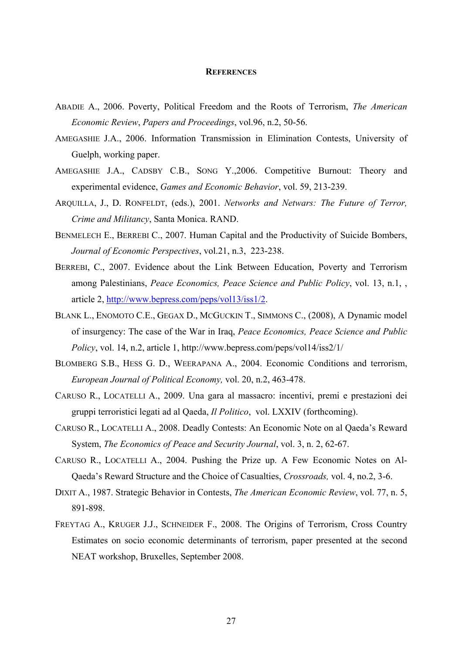## **REFERENCES**

- ABADIE A., 2006. Poverty, Political Freedom and the Roots of Terrorism, *The American Economic Review*, *Papers and Proceedings*, vol.96, n.2, 50-56.
- AMEGASHIE J.A., 2006. Information Transmission in Elimination Contests, University of Guelph, working paper.
- AMEGASHIE J.A., CADSBY C.B., SONG Y.,2006. Competitive Burnout: Theory and experimental evidence, *Games and Economic Behavior*, vol. 59, 213-239.
- ARQUILLA, J., D. RONFELDT, (eds.), 2001. *Networks and Netwars: The Future of Terror, Crime and Militancy*, Santa Monica. RAND.
- BENMELECH E., BERREBI C., 2007. Human Capital and the Productivity of Suicide Bombers, *Journal of Economic Perspectives*, vol.21, n.3, 223-238.
- BERREBI, C., 2007. Evidence about the Link Between Education, Poverty and Terrorism among Palestinians, *Peace Economics, Peace Science and Public Policy*, vol. 13, n.1, , article 2, http://www.bepress.com/peps/vol13/iss1/2.
- BLANK L., ENOMOTO C.E., GEGAX D., MCGUCKIN T., SIMMONS C., (2008), A Dynamic model of insurgency: The case of the War in Iraq, *Peace Economics, Peace Science and Public Policy*, vol. 14, n.2, article 1, http://www.bepress.com/peps/vol14/iss2/1/
- BLOMBERG S.B., HESS G. D., WEERAPANA A., 2004. Economic Conditions and terrorism, *European Journal of Political Economy,* vol. 20, n.2, 463-478.
- CARUSO R., LOCATELLI A., 2009. Una gara al massacro: incentivi, premi e prestazioni dei gruppi terroristici legati ad al Qaeda, *Il Politico*, vol. LXXIV (forthcoming).
- CARUSO R., LOCATELLI A., 2008. Deadly Contests: An Economic Note on al Qaeda's Reward System, *The Economics of Peace and Security Journal*, vol. 3, n. 2, 62-67.
- CARUSO R., LOCATELLI A., 2004. Pushing the Prize up. A Few Economic Notes on Al-Qaeda's Reward Structure and the Choice of Casualties, *Crossroads,* vol. 4, no.2, 3-6.
- DIXIT A., 1987. Strategic Behavior in Contests, *The American Economic Review*, vol. 77, n. 5, 891-898.
- FREYTAG A., KRUGER J.J., SCHNEIDER F., 2008. The Origins of Terrorism, Cross Country Estimates on socio economic determinants of terrorism, paper presented at the second NEAT workshop, Bruxelles, September 2008.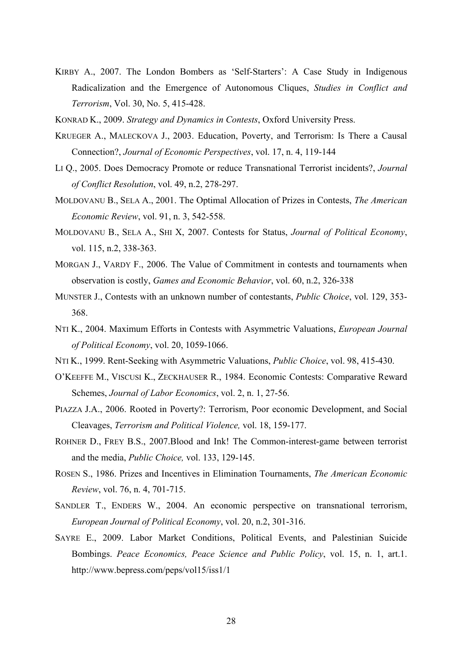- KIRBY A., 2007. The London Bombers as 'Self-Starters': A Case Study in Indigenous Radicalization and the Emergence of Autonomous Cliques, *Studies in Conflict and Terrorism*, Vol. 30, No. 5, 415-428.
- KONRAD K., 2009. *Strategy and Dynamics in Contests*, Oxford University Press.
- KRUEGER A., MALECKOVA J., 2003. Education, Poverty, and Terrorism: Is There a Causal Connection?, *Journal of Economic Perspectives*, vol. 17, n. 4, 119-144
- LI Q., 2005. Does Democracy Promote or reduce Transnational Terrorist incidents?, *Journal of Conflict Resolution*, vol. 49, n.2, 278-297.
- MOLDOVANU B., SELA A., 2001. The Optimal Allocation of Prizes in Contests, *The American Economic Review*, vol. 91, n. 3, 542-558.
- MOLDOVANU B., SELA A., SHI X, 2007. Contests for Status, *Journal of Political Economy*, vol. 115, n.2, 338-363.
- MORGAN J., VARDY F., 2006. The Value of Commitment in contests and tournaments when observation is costly, *Games and Economic Behavior*, vol. 60, n.2, 326-338
- MUNSTER J., Contests with an unknown number of contestants, *Public Choice*, vol. 129, 353- 368.
- NTI K., 2004. Maximum Efforts in Contests with Asymmetric Valuations, *European Journal of Political Economy*, vol. 20, 1059-1066.
- NTI K., 1999. Rent-Seeking with Asymmetric Valuations, *Public Choice*, vol. 98, 415-430.
- O'KEEFFE M., VISCUSI K., ZECKHAUSER R., 1984. Economic Contests: Comparative Reward Schemes, *Journal of Labor Economics*, vol. 2, n. 1, 27-56.
- PIAZZA J.A., 2006. Rooted in Poverty?: Terrorism, Poor economic Development, and Social Cleavages, *Terrorism and Political Violence,* vol. 18, 159-177.
- ROHNER D., FREY B.S., 2007.Blood and Ink! The Common-interest-game between terrorist and the media, *Public Choice,* vol. 133, 129-145.
- ROSEN S., 1986. Prizes and Incentives in Elimination Tournaments, *The American Economic Review*, vol. 76, n. 4, 701-715.
- SANDLER T., ENDERS W., 2004. An economic perspective on transnational terrorism, *European Journal of Political Economy*, vol. 20, n.2, 301-316.
- SAYRE E., 2009. Labor Market Conditions, Political Events, and Palestinian Suicide Bombings. *Peace Economics, Peace Science and Public Policy*, vol. 15, n. 1, art.1. http://www.bepress.com/peps/vol15/iss1/1